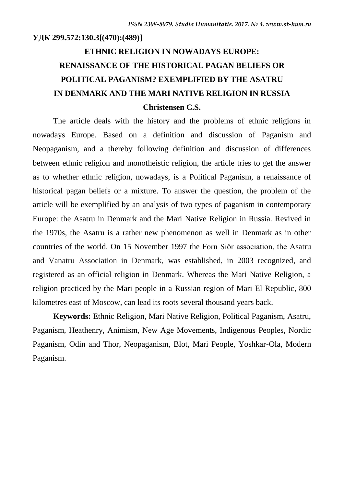#### **УДК 299.572:130.3[(470):(489)]**

## **ETHNIC RELIGION IN NOWADAYS EUROPE: RENAISSANCE OF THE HISTORICAL PAGAN BELIEFS OR POLITICAL PAGANISM? EXEMPLIFIED BY THE ASATRU IN DENMARK AND THE MARI NATIVE RELIGION IN RUSSIA Christensen C.S.**

The article deals with the history and the problems of ethnic religions in nowadays Europe. Based on a definition and discussion of Paganism and Neopaganism, and a thereby following definition and discussion of differences between ethnic religion and monotheistic religion, the article tries to get the answer as to whether ethnic religion, nowadays, is a Political Paganism, a renaissance of historical pagan beliefs or a mixture. To answer the question, the problem of the article will be exemplified by an analysis of two types of paganism in contemporary Europe: the Asatru in Denmark and the Mari Native Religion in Russia. Revived in the 1970s, the Asatru is a rather new phenomenon as well in Denmark as in other countries of the world. On 15 November 1997 the Forn Siðr association, the Asatru and Vanatru Association in Denmark, was established, in 2003 recognized, and registered as an official religion in Denmark. Whereas the Mari Native Religion, a religion practiced by the Mari people in a Russian region of Mari El Republic, 800 kilometres east of Moscow, can lead its roots several thousand years back.

**Keywords:** Ethnic Religion, Mari Native Religion, Political Paganism, Asatru, Paganism, Heathenry, Animism, New Age Movements, Indigenous Peoples, Nordic Paganism, Odin and Thor, Neopaganism, Blot, Mari People, Yoshkar-Ola, Modern Paganism.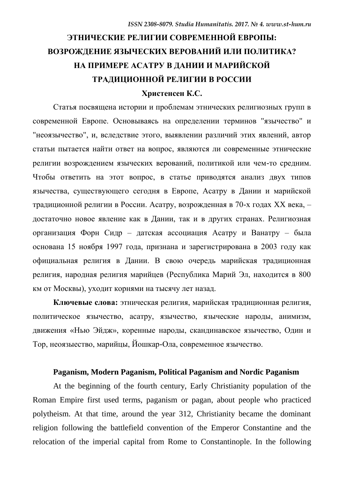# **ЭТНИЧЕСКИЕ РЕЛИГИИ СОВРЕМЕННОЙ ЕВРОПЫ: ВОЗРОЖДЕНИЕ ЯЗЫЧЕСКИХ ВЕРОВАНИЙ ИЛИ ПОЛИТИКА? НА ПРИМЕРЕ АСАТРУ В ДАНИИ И МАРИЙСКОЙ ТРАДИЦИОННОЙ РЕЛИГИИ В РОССИИ**

## **Христенсен К.С.**

Статья посвящена истории и проблемам этнических религиозных групп в современной Европе. Основываясь на определении терминов "язычество" и "неоязычество", и, вследствие этого, выявлении различий этих явлений, автор статьи пытается найти ответ на вопрос, являются ли современные этнические религии возрождением языческих верований, политикой или чем-то средним. Чтобы ответить на этот вопрос, в статье приводятся анализ двух типов язычества, существующего сегодня в Европе, Асатру в Дании и марийской традиционной религии в России. Асатру, возрожденная в 70-х годах XX века, – достаточно новое явление как в Дании, так и в других странах. Религиозная организация Форн Сидр – датская ассоциация Асатру и Ванатру – была основана 15 ноября 1997 года, признана и зарегистрирована в 2003 году как официальная религия в Дании. В свою очередь марийская традиционная религия, народная религия марийцев (Республика Марий Эл, находится в 800 км от Москвы), уходит корнями на тысячу лет назад.

**Ключевые слова:** этническая религия, марийская традиционная религия, политическое язычество, асатру, язычество, языческие народы, анимизм, движения «Нью Эйдж», коренные народы, скандинавское язычество, Один и Тор, неоязыество, марийцы, Йошкар-Ола, современное язычество.

## **Paganism, Modern Paganism, Political Paganism and Nordic Paganism**

At the beginning of the fourth century, Early Christianity population of the Roman Empire first used terms, paganism or pagan, about people who practiced [polytheism.](https://en.wikipedia.org/wiki/Polytheism) At that time, around the year 312, Christianity became the dominant religion following the battlefield convention of the Emperor Constantine and the relocation of the imperial capital from Rome to Constantinople. In the following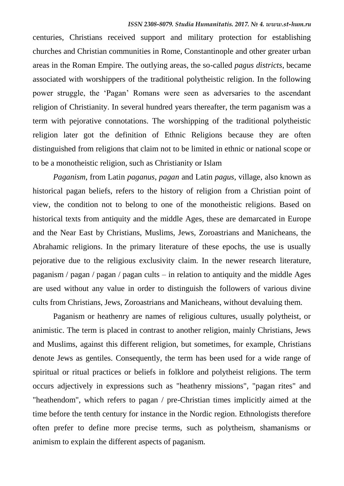centuries, Christians received support and military protection for establishing churches and Christian communities in Rome, Constantinople and other greater urban areas in the Roman Empire. The outlying areas, the so-called *pagus districts*, became associated with worshippers of the traditional polytheistic religion. In the following power struggle, the "Pagan" Romans were seen as adversaries to the ascendant religion of Christianity. In several hundred years thereafter, the term paganism was a term with pejorative connotations. The worshipping of the traditional polytheistic religion later got the definition of Ethnic Religions because they are often distinguished from religions that claim not to be limited in ethnic or national scope or to be a monotheistic religion, such as Christianity or Islam

*Paganism*, from Latin *paganus*, *pagan* and Latin *pagus*, village, also known as historical pagan beliefs, refers to the history of religion from a Christian point of view, the condition not to belong to one of the monotheistic religions. Based on historical texts from antiquity and the middle Ages, these are demarcated in Europe and the Near East by Christians, Muslims, Jews, Zoroastrians and Manicheans, the Abrahamic religions. In the primary literature of these epochs, the use is usually pejorative due to the religious exclusivity claim. In the newer research literature, paganism / pagan / pagan / pagan cults – in relation to antiquity and the middle Ages are used without any value in order to distinguish the followers of various divine cults from Christians, Jews, Zoroastrians and Manicheans, without devaluing them.

Paganism or heathenry are names of religious cultures, usually polytheist, or animistic. The term is placed in contrast to another religion, mainly Christians, Jews and Muslims, against this different religion, but sometimes, for example, Christians denote Jews as gentiles. Consequently, the term has been used for a wide range of spiritual or ritual practices or beliefs in folklore and polytheist religions. The term occurs adjectively in expressions such as "heathenry missions", "pagan rites" and "heathendom", which refers to pagan / pre-Christian times implicitly aimed at the time before the tenth century for instance in the Nordic region. Ethnologists therefore often prefer to define more precise terms, such as polytheism, shamanisms or animism to explain the different aspects of paganism.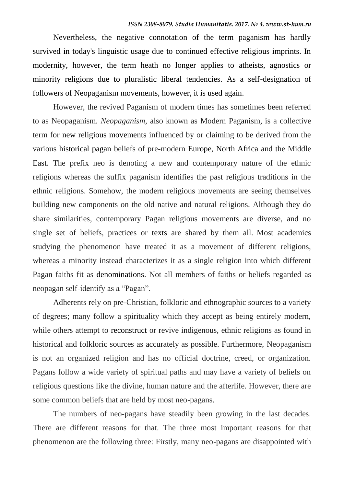Nevertheless, the negative connotation of the term paganism has hardly survived in today's linguistic usage due to continued effective religious imprints. In modernity, however, the term heath no longer applies to atheists, agnostics or minority religions due to pluralistic liberal tendencies. As a self-designation of followers of Neopaganism movements, however, it is used again.

However, the revived Paganism of modern times has sometimes been referred to as Neopaganism. *Neopaganism*, also known as Modern Paganism, is a collective term for new religious movements influenced by or claiming to be derived from the various historical pagan beliefs of pre-modern Europe, North Africa and the Middle East. The prefix neo is denoting a new and contemporary nature of the ethnic religions whereas the suffix paganism identifies the past religious traditions in the ethnic religions. Somehow, the modern religious movements are seeing themselves building new components on the old native and natural religions. Although they do share similarities, contemporary Pagan religious movements are diverse, and no single set of beliefs, practices or texts are shared by them all. Most academics studying the phenomenon have treated it as a movement of different religions, whereas a minority instead characterizes it as a single religion into which different Pagan faiths fit as denominations. Not all members of faiths or beliefs regarded as neopagan self-identify as a "Pagan".

Adherents rely on pre-Christian, folkloric and ethnographic sources to a variety of degrees; many follow a spirituality which they accept as being entirely modern, while others attempt to reconstruct or revive indigenous, ethnic religions as found in historical and folkloric sources as accurately as possible. Furthermore, Neopaganism is not an organized religion and has no official doctrine, creed, or organization. Pagans follow a wide variety of spiritual paths and may have a variety of beliefs on religious questions like the divine, human nature and the afterlife. However, there are some common beliefs that are held by most neo-pagans.

The numbers of neo-pagans have steadily been growing in the last decades. There are different reasons for that. The three most important reasons for that phenomenon are the following three: Firstly, many neo-pagans are disappointed with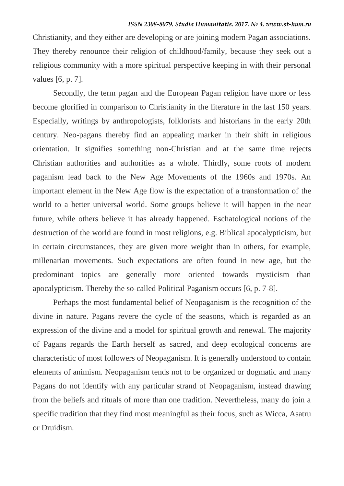Christianity, and they either are developing or are joining modern Pagan associations. They thereby renounce their religion of childhood/family, because they seek out a religious community with a more spiritual perspective keeping in with their personal values [6, p. 7].

Secondly, the term pagan and the European Pagan religion have more or less become glorified in comparison to Christianity in the literature in the last 150 years. Especially, writings by anthropologists, folklorists and historians in the early 20th century. Neo-pagans thereby find an appealing marker in their shift in religious orientation. It signifies something non-Christian and at the same time rejects Christian authorities and authorities as a whole. Thirdly, some roots of modern paganism lead back to the New Age Movements of the 1960s and 1970s. An important element in the New Age flow is the expectation of a transformation of the world to a better universal world. Some groups believe it will happen in the near future, while others believe it has already happened. Eschatological notions of the destruction of the world are found in most religions, e.g. Biblical apocalypticism, but in certain circumstances, they are given more weight than in others, for example, millenarian movements. Such expectations are often found in new age, but the predominant topics are generally more oriented towards mysticism than apocalypticism. Thereby the so-called Political Paganism occurs [6, p. 7-8].

Perhaps the most fundamental belief of Neopaganism is the recognition of the divine in nature. Pagans revere the cycle of the seasons, which is regarded as an expression of the divine and a model for spiritual growth and renewal. The majority of Pagans regards the Earth herself as sacred, and deep ecological concerns are characteristic of most followers of Neopaganism. It is generally understood to contain elements of animism. Neopaganism tends not to be organized or dogmatic and many Pagans do not identify with any particular strand of Neopaganism, instead drawing from the beliefs and rituals of more than one tradition. Nevertheless, many do join a specific tradition that they find most meaningful as their focus, such as Wicca, Asatru or Druidism.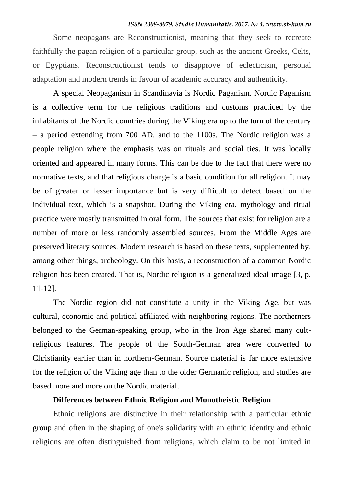#### *ISSN 2308-8079. Studia Humanitatis. 2017. № 4. www.st-hum.ru*

Some neopagans are Reconstructionist, meaning that they seek to recreate faithfully the pagan religion of a particular group, such as the ancient Greeks, Celts, or Egyptians. Reconstructionist tends to disapprove of eclecticism, personal adaptation and modern trends in favour of academic accuracy and authenticity.

A special Neopaganism in Scandinavia is Nordic Paganism. Nordic Paganism is a collective term for the religious traditions and customs practiced by the inhabitants of the Nordic countries during the Viking era up to the turn of the century – a period extending from 700 AD. and to the 1100s. The Nordic religion was a people religion where the emphasis was on rituals and social ties. It was locally oriented and appeared in many forms. This can be due to the fact that there were no normative texts, and that religious change is a basic condition for all religion. It may be of greater or lesser importance but is very difficult to detect based on the individual text, which is a snapshot. During the Viking era, mythology and ritual practice were mostly transmitted in oral form. The sources that exist for religion are a number of more or less randomly assembled sources. From the Middle Ages are preserved literary sources. Modern research is based on these texts, supplemented by, among other things, archeology. On this basis, a reconstruction of a common Nordic religion has been created. That is, Nordic religion is a generalized ideal image [3, p. 11-12].

The Nordic region did not constitute a unity in the Viking Age, but was cultural, economic and political affiliated with neighboring regions. The northerners belonged to the German-speaking group, who in the Iron Age shared many cultreligious features. The people of the South-German area were converted to Christianity earlier than in northern-German. Source material is far more extensive for the religion of the Viking age than to the older Germanic religion, and studies are based more and more on the Nordic material.

## **Differences between Ethnic Religion and Monotheistic Religion**

Ethnic religions are distinctive in their relationship with a particular [ethnic](https://en.wikipedia.org/wiki/Ethnic_group)  [group](https://en.wikipedia.org/wiki/Ethnic_group) and often in the shaping of one's solidarity with an ethnic identity and ethnic religions are often distinguished from religions, which claim to be not limited in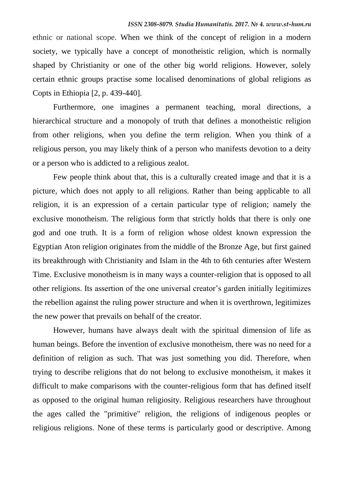ethnic or national scope. When we think of the concept of religion in a modern society, we typically have a concept of monotheistic religion, which is normally shaped by Christianity or one of the other big world religions. However, solely certain ethnic groups practise some localised denominations of global religions as Copts in Ethiopia [2, p. 439-440].

Furthermore, one imagines a permanent teaching, moral directions, a hierarchical structure and a monopoly of truth that defines a monotheistic religion from other religions, when you define the term religion. When you think of a religious person, you may likely think of a person who manifests devotion to a deity or a person who is addicted to a religious zealot.

Few people think about that, this is a culturally created image and that it is a picture, which does not apply to all religions. Rather than being applicable to all religion, it is an expression of a certain particular type of religion; namely the exclusive monotheism. The religious form that strictly holds that there is only one god and one truth. It is a form of religion whose oldest known expression the Egyptian Aton religion originates from the middle of the Bronze Age, but first gained its breakthrough with Christianity and Islam in the 4th to 6th centuries after Western Time. Exclusive monotheism is in many ways a counter-religion that is opposed to all other religions. Its assertion of the one universal creator"s garden initially legitimizes the rebellion against the ruling power structure and when it is overthrown, legitimizes the new power that prevails on behalf of the creator.

However, humans have always dealt with the spiritual dimension of life as human beings. Before the invention of exclusive monotheism, there was no need for a definition of religion as such. That was just something you did. Therefore, when trying to describe religions that do not belong to exclusive monotheism, it makes it difficult to make comparisons with the counter-religious form that has defined itself as opposed to the original human religiosity. Religious researchers have throughout the ages called the "primitive" religion, the religions of indigenous peoples or religious religions. None of these terms is particularly good or descriptive. Among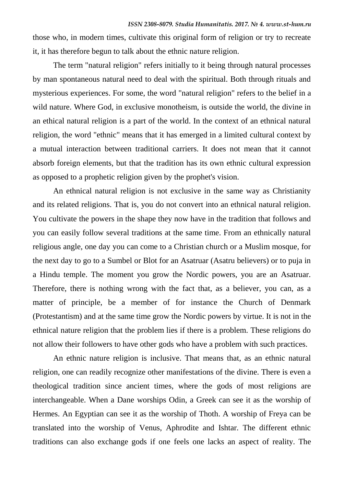those who, in modern times, cultivate this original form of religion or try to recreate it, it has therefore begun to talk about the ethnic nature religion.

The term "natural religion" refers initially to it being through natural processes by man spontaneous natural need to deal with the spiritual. Both through rituals and mysterious experiences. For some, the word "natural religion" refers to the belief in a wild nature. Where God, in exclusive monotheism, is outside the world, the divine in an ethical natural religion is a part of the world. In the context of an ethnical natural religion, the word "ethnic" means that it has emerged in a limited cultural context by a mutual interaction between traditional carriers. It does not mean that it cannot absorb foreign elements, but that the tradition has its own ethnic cultural expression as opposed to a prophetic religion given by the prophet's vision.

An ethnical natural religion is not exclusive in the same way as Christianity and its related religions. That is, you do not convert into an ethnical natural religion. You cultivate the powers in the shape they now have in the tradition that follows and you can easily follow several traditions at the same time. From an ethnically natural religious angle, one day you can come to a Christian church or a Muslim mosque, for the next day to go to a Sumbel or Blot for an Asatruar (Asatru believers) or to puja in a Hindu temple. The moment you grow the Nordic powers, you are an Asatruar. Therefore, there is nothing wrong with the fact that, as a believer, you can, as a matter of principle, be a member of for instance the Church of Denmark (Protestantism) and at the same time grow the Nordic powers by virtue. It is not in the ethnical nature religion that the problem lies if there is a problem. These religions do not allow their followers to have other gods who have a problem with such practices.

An ethnic nature religion is inclusive. That means that, as an ethnic natural religion, one can readily recognize other manifestations of the divine. There is even a theological tradition since ancient times, where the gods of most religions are interchangeable. When a Dane worships Odin, a Greek can see it as the worship of Hermes. An Egyptian can see it as the worship of Thoth. A worship of Freya can be translated into the worship of Venus, Aphrodite and Ishtar. The different ethnic traditions can also exchange gods if one feels one lacks an aspect of reality. The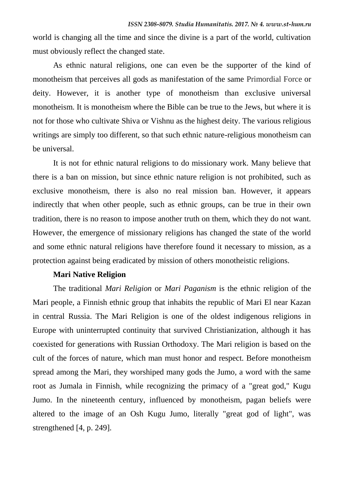world is changing all the time and since the divine is a part of the world, cultivation must obviously reflect the changed state.

As ethnic natural religions, one can even be the supporter of the kind of monotheism that perceives all gods as manifestation of the same Primordial Force or deity. However, it is another type of monotheism than exclusive universal monotheism. It is monotheism where the Bible can be true to the Jews, but where it is not for those who cultivate Shiva or Vishnu as the highest deity. The various religious writings are simply too different, so that such ethnic nature-religious monotheism can be universal.

It is not for ethnic natural religions to do missionary work. Many believe that there is a ban on mission, but since ethnic nature religion is not prohibited, such as exclusive monotheism, there is also no real mission ban. However, it appears indirectly that when other people, such as ethnic groups, can be true in their own tradition, there is no reason to impose another truth on them, which they do not want. However, the emergence of missionary religions has changed the state of the world and some ethnic natural religions have therefore found it necessary to mission, as a protection against being eradicated by mission of others monotheistic religions.

## **Mari Native Religion**

The traditional *Mari Religion* or *Mari Paganism* is the ethnic religion of the Mari people, a Finnish ethnic group that inhabits the republic of Mari El near Kazan in central Russia. The Mari Religion is one of the oldest indigenous religions in Europe with uninterrupted continuity that survived Christianization, although it has coexisted for generations with Russian Orthodoxy. The Mari religion is based on the cult of the forces of nature, which man must honor and respect. Before monotheism spread among the Mari, they worshiped many gods the Jumo, a word with the same root as Jumala in Finnish, while recognizing the primacy of a "great god," Kugu Jumo. In the nineteenth century, influenced by monotheism, pagan beliefs were altered to the image of an Osh Kugu Jumo, literally "great god of light", was strengthened [4, p. 249].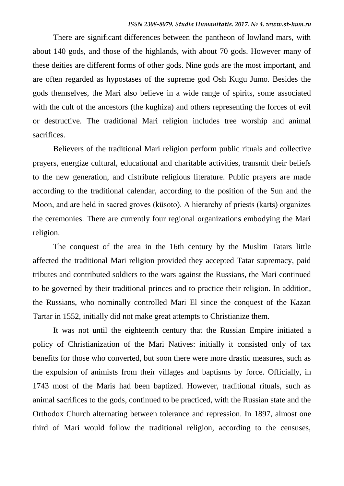There are significant differences between the pantheon of lowland mars, with about 140 gods, and those of the highlands, with about 70 gods. However many of these deities are different forms of other gods. Nine gods are the most important, and are often regarded as hypostases of the supreme god Osh Kugu Jumo. Besides the gods themselves, the Mari also believe in a wide range of spirits, some associated with the cult of the ancestors (the kughiza) and others representing the forces of evil or destructive. The traditional Mari religion includes tree worship and animal sacrifices.

Believers of the traditional Mari religion perform public rituals and collective prayers, energize cultural, educational and charitable activities, transmit their beliefs to the new generation, and distribute religious literature. Public prayers are made according to the traditional calendar, according to the position of the Sun and the Moon, and are held in sacred groves (küsoto). A hierarchy of priests (karts) organizes the ceremonies. There are currently four regional organizations embodying the Mari religion.

The conquest of the area in the 16th century by the Muslim Tatars little affected the traditional Mari religion provided they accepted Tatar supremacy, paid tributes and contributed soldiers to the wars against the Russians, the Mari continued to be governed by their traditional princes and to practice their religion. In addition, the Russians, who nominally controlled Mari El since the conquest of the Kazan Tartar in 1552, initially did not make great attempts to Christianize them.

It was not until the eighteenth century that the Russian Empire initiated a policy of Christianization of the Mari Natives: initially it consisted only of tax benefits for those who converted, but soon there were more drastic measures, such as the expulsion of animists from their villages and baptisms by force. Officially, in 1743 most of the Maris had been baptized. However, traditional rituals, such as animal sacrifices to the gods, continued to be practiced, with the Russian state and the Orthodox Church alternating between tolerance and repression. In 1897, almost one third of Mari would follow the traditional religion, according to the censuses,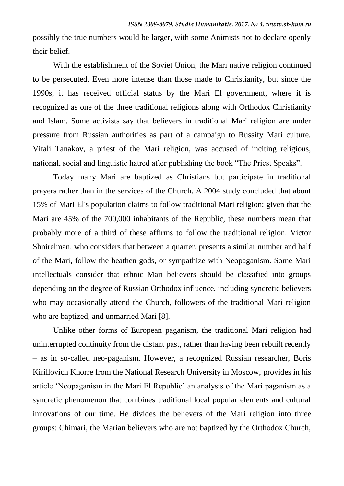possibly the true numbers would be larger, with some Animists not to declare openly their belief.

With the establishment of the Soviet Union, the Mari native religion continued to be persecuted. Even more intense than those made to Christianity, but since the 1990s, it has received official status by the Mari El government, where it is recognized as one of the three traditional religions along with Orthodox Christianity and Islam. Some activists say that believers in traditional Mari religion are under pressure from Russian authorities as part of a campaign to Russify Mari culture. Vitali Tanakov, a priest of the Mari religion, was accused of inciting religious, national, social and linguistic hatred after publishing the book "The Priest Speaks".

Today many Mari are baptized as Christians but participate in traditional prayers rather than in the services of the Church. A 2004 study concluded that about 15% of Mari El's population claims to follow traditional Mari religion; given that the Mari are 45% of the 700,000 inhabitants of the Republic, these numbers mean that probably more of a third of these affirms to follow the traditional religion. Victor Shnirelman, who considers that between a quarter, presents a similar number and half of the Mari, follow the heathen gods, or sympathize with Neopaganism. Some Mari intellectuals consider that ethnic Mari believers should be classified into groups depending on the degree of Russian Orthodox influence, including syncretic believers who may occasionally attend the Church, followers of the traditional Mari religion who are baptized, and unmarried Mari [8].

Unlike other forms of European paganism, the traditional Mari religion had uninterrupted continuity from the distant past, rather than having been rebuilt recently – as in so-called neo-paganism. However, a recognized Russian researcher, Boris Kirillovich Knorre from the National Research University in Moscow, provides in his article "Neopaganism in the Mari El Republic" an analysis of the Mari paganism as a syncretic phenomenon that combines traditional local popular elements and cultural innovations of our time. He divides the believers of the Mari religion into three groups: Chimari, the Marian believers who are not baptized by the Orthodox Church,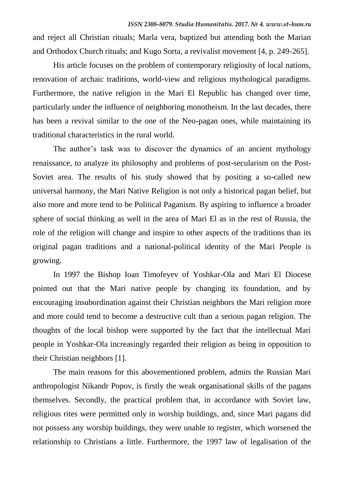and reject all Christian rituals; Marla vera, baptized but attending both the Marian and Orthodox Church rituals; and Kugo Sorta, a revivalist movement [4, p. 249-265].

His article focuses on the problem of contemporary religiosity of local nations, renovation of archaic traditions, world-view and religious mythological paradigms. Furthermore, the native religion in the Mari El Republic has changed over time, particularly under the influence of neighboring monotheism. In the last decades, there has been a revival similar to the one of the Neo-pagan ones, while maintaining its traditional characteristics in the rural world.

The author's task was to discover the dynamics of an ancient mythology renaissance, to analyze its philosophy and problems of post-secularism on the Post-Soviet area. The results of his study showed that by positing a so-called new universal harmony, the Mari Native Religion is not only a historical pagan belief, but also more and more tend to be Political Paganism. By aspiring to influence a broader sphere of social thinking as well in the area of Mari El as in the rest of Russia, the role of the religion will change and inspire to other aspects of the traditions than its original pagan traditions and a national-political identity of the Mari People is growing.

In 1997 the Bishop Ioan Timofeyev of Yoshkar-Ola and Mari El Diocese pointed out that the Mari native people by changing its foundation, and by encouraging insubordination against their Christian neighbors the Mari religion more and more could tend to become a destructive cult than a serious pagan religion. The thoughts of the local bishop were supported by the fact that the intellectual Mari people in Yoshkar-Ola increasingly regarded their religion as being in opposition to their Christian neighbors [1].

The main reasons for this abovementioned problem, admits the Russian Mari anthropologist Nikandr Popov, is firstly the weak organisational skills of the pagans themselves. Secondly, the practical problem that, in accordance with Soviet law, religious rites were permitted only in worship buildings, and, since Mari pagans did not possess any worship buildings, they were unable to register, which worsened the relationship to Christians a little. Furthermore, the 1997 law of legalisation of the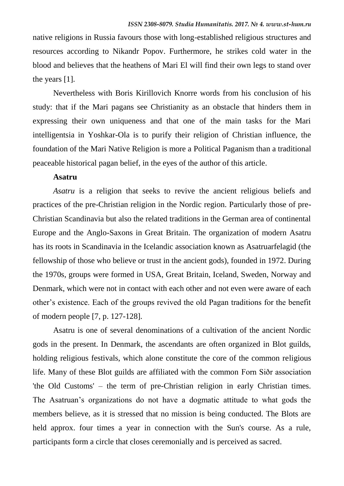native religions in Russia favours those with long-established religious structures and resources according to Nikandr Popov. Furthermore, he strikes cold water in the blood and believes that the heathens of Mari El will find their own legs to stand over the years [1].

Nevertheless with Boris Kirillovich Knorre words from his conclusion of his study: that if the Mari pagans see Christianity as an obstacle that hinders them in expressing their own uniqueness and that one of the main tasks for the Mari intelligentsia in Yoshkar-Ola is to purify their religion of Christian influence, the foundation of the Mari Native Religion is more a Political Paganism than a traditional peaceable historical pagan belief, in the eyes of the author of this article.

## **Asatru**

*Asatru* is a religion that seeks to revive the ancient religious beliefs and practices of the pre-Christian religion in the Nordic region. Particularly those of pre-Christian Scandinavia but also the related traditions in the German area of continental Europe and the Anglo-Saxons in Great Britain. The organization of modern Asatru has its roots in Scandinavia in the Icelandic association known as Asatruarfelagid (the fellowship of those who believe or trust in the ancient gods), founded in 1972. During the 1970s, groups were formed in USA, Great Britain, Iceland, Sweden, Norway and Denmark, which were not in contact with each other and not even were aware of each other"s existence. Each of the groups revived the old Pagan traditions for the benefit of modern people [7, p. 127-128].

Asatru is one of several denominations of a cultivation of the ancient Nordic gods in the present. In Denmark, the ascendants are often organized in Blot guilds, holding religious festivals, which alone constitute the core of the common religious life. Many of these Blot guilds are affiliated with the common Forn Siðr association 'the Old Customs' – the term of pre-Christian religion in early Christian times. The Asatruan"s organizations do not have a dogmatic attitude to what gods the members believe, as it is stressed that no mission is being conducted. The Blots are held approx. four times a year in connection with the Sun's course. As a rule, participants form a circle that closes ceremonially and is perceived as sacred.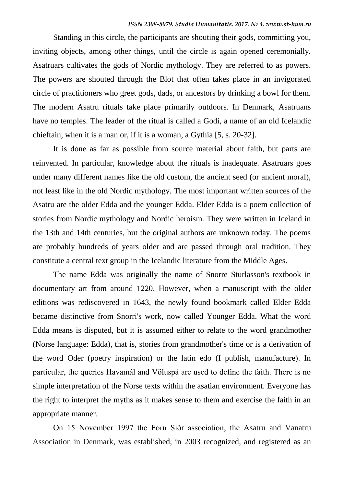Standing in this circle, the participants are shouting their gods, committing you, inviting objects, among other things, until the circle is again opened ceremonially. Asatruars cultivates the gods of Nordic mythology. They are referred to as powers. The powers are shouted through the Blot that often takes place in an invigorated circle of practitioners who greet gods, dads, or ancestors by drinking a bowl for them. The modern Asatru rituals take place primarily outdoors. In Denmark, Asatruans have no temples. The leader of the ritual is called a Godi, a name of an old Icelandic chieftain, when it is a man or, if it is a woman, a Gythia [5, s. 20-32].

It is done as far as possible from source material about faith, but parts are reinvented. In particular, knowledge about the rituals is inadequate. Asatruars goes under many different names like the old custom, the ancient seed (or ancient moral), not least like in the old Nordic mythology. The most important written sources of the Asatru are the older Edda and the younger Edda. Elder Edda is a poem collection of stories from Nordic mythology and Nordic heroism. They were written in Iceland in the 13th and 14th centuries, but the original authors are unknown today. The poems are probably hundreds of years older and are passed through oral tradition. They constitute a central text group in the Icelandic literature from the Middle Ages.

The name Edda was originally the name of Snorre Sturlasson's textbook in documentary art from around 1220. However, when a manuscript with the older editions was rediscovered in 1643, the newly found bookmark called Elder Edda became distinctive from Snorri's work, now called Younger Edda. What the word Edda means is disputed, but it is assumed either to relate to the word grandmother (Norse language: Edda), that is, stories from grandmother's time or is a derivation of the word Oder (poetry inspiration) or the latin edo (I publish, manufacture). In particular, the queries Havamál and Völuspá are used to define the faith. There is no simple interpretation of the Norse texts within the asatian environment. Everyone has the right to interpret the myths as it makes sense to them and exercise the faith in an appropriate manner.

On 15 November 1997 the Forn Siðr association, the Asatru and Vanatru Association in Denmark, was established, in 2003 recognized, and registered as an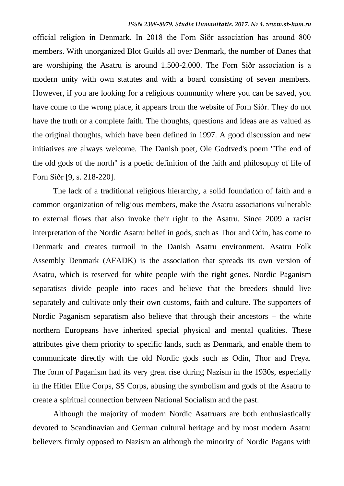official religion in Denmark. In 2018 the Forn Siðr association has around 800 members. With unorganized Blot Guilds all over Denmark, the number of Danes that are worshiping the Asatru is around 1.500-2.000. The Forn Siðr association is a modern unity with own statutes and with a board consisting of seven members. However, if you are looking for a religious community where you can be saved, you have come to the wrong place, it appears from the website of Forn Siðr. They do not have the truth or a complete faith. The thoughts, questions and ideas are as valued as the original thoughts, which have been defined in 1997. A good discussion and new initiatives are always welcome. The Danish poet, Ole Godtved's poem "The end of the old gods of the north" is a poetic definition of the faith and philosophy of life of Forn Siðr [9, s. 218-220].

The lack of a traditional religious hierarchy, a solid foundation of faith and a common organization of religious members, make the Asatru associations vulnerable to external flows that also invoke their right to the Asatru. Since 2009 a racist interpretation of the Nordic Asatru belief in gods, such as Thor and Odin, has come to Denmark and creates turmoil in the Danish Asatru environment. Asatru Folk Assembly Denmark (AFADK) is the association that spreads its own version of Asatru, which is reserved for white people with the right genes. Nordic Paganism separatists divide people into races and believe that the breeders should live separately and cultivate only their own customs, faith and culture. The supporters of Nordic Paganism separatism also believe that through their ancestors – the white northern Europeans have inherited special physical and mental qualities. These attributes give them priority to specific lands, such as Denmark, and enable them to communicate directly with the old Nordic gods such as Odin, Thor and Freya. The form of Paganism had its very great rise during Nazism in the 1930s, especially in the Hitler Elite Corps, SS Corps, abusing the symbolism and gods of the Asatru to create a spiritual connection between National Socialism and the past.

Although the majority of modern Nordic Asatruars are both enthusiastically devoted to Scandinavian and German cultural heritage and by most modern Asatru believers firmly opposed to Nazism an although the minority of Nordic Pagans with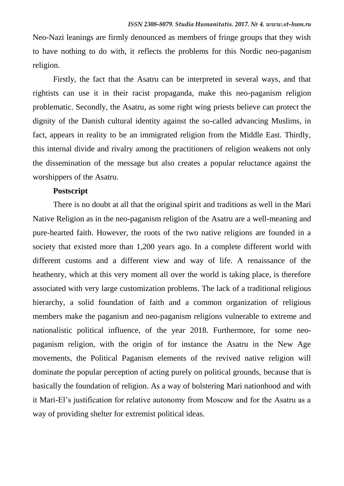Neo-Nazi leanings are firmly denounced as members of fringe groups that they wish to have nothing to do with, it reflects the problems for this Nordic neo-paganism religion.

Firstly, the fact that the Asatru can be interpreted in several ways, and that rightists can use it in their racist propaganda, make this neo-paganism religion problematic. Secondly, the Asatru, as some right wing priests believe can protect the dignity of the Danish cultural identity against the so-called advancing Muslims, in fact, appears in reality to be an immigrated religion from the Middle East. Thirdly, this internal divide and rivalry among the practitioners of religion weakens not only the dissemination of the message but also creates a popular reluctance against the worshippers of the Asatru.

## **Postscript**

There is no doubt at all that the original spirit and traditions as well in the Mari Native Religion as in the neo-paganism religion of the Asatru are a well-meaning and pure-hearted faith. However, the roots of the two native religions are founded in a society that existed more than 1,200 years ago. In a complete different world with different customs and a different view and way of life. A renaissance of the heathenry, which at this very moment all over the world is taking place, is therefore associated with very large customization problems. The lack of a traditional religious hierarchy, a solid foundation of faith and a common organization of religious members make the paganism and neo-paganism religions vulnerable to extreme and nationalistic political influence, of the year 2018. Furthermore, for some neopaganism religion, with the origin of for instance the Asatru in the New Age movements, the Political Paganism elements of the revived native religion will dominate the popular perception of acting purely on political grounds, because that is basically the foundation of religion. As a way of bolstering Mari nationhood and with it Mari-El"s justification for relative autonomy from Moscow and for the Asatru as a way of providing shelter for extremist political ideas.